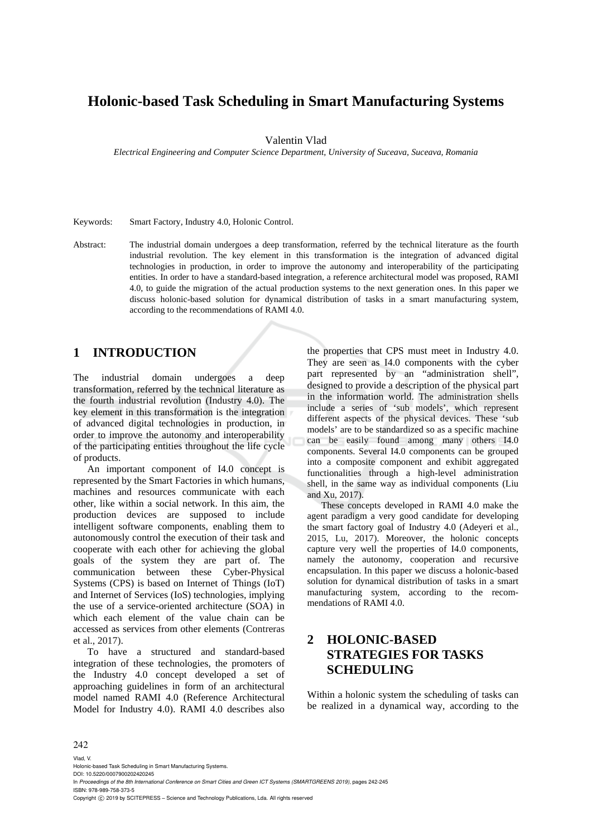# **Holonic-based Task Scheduling in Smart Manufacturing Systems**

Valentin Vlad

*Electrical Engineering and Computer Science Department, University of Suceava, Suceava, Romania* 

Keywords: Smart Factory, Industry 4.0, Holonic Control.

Abstract: The industrial domain undergoes a deep transformation, referred by the technical literature as the fourth industrial revolution. The key element in this transformation is the integration of advanced digital technologies in production, in order to improve the autonomy and interoperability of the participating entities. In order to have a standard-based integration, a reference architectural model was proposed, RAMI 4.0, to guide the migration of the actual production systems to the next generation ones. In this paper we discuss holonic-based solution for dynamical distribution of tasks in a smart manufacturing system, according to the recommendations of RAMI 4.0.

## **1 INTRODUCTION**

The industrial domain undergoes a deep transformation, referred by the technical literature as the fourth industrial revolution (Industry 4.0). The key element in this transformation is the integration of advanced digital technologies in production, in order to improve the autonomy and interoperability of the participating entities throughout the life cycle of products.

An important component of I4.0 concept is represented by the Smart Factories in which humans, machines and resources communicate with each other, like within a social network. In this aim, the production devices are supposed to include intelligent software components, enabling them to autonomously control the execution of their task and cooperate with each other for achieving the global goals of the system they are part of. The communication between these Cyber-Physical Systems (CPS) is based on Internet of Things (IoT) and Internet of Services (IoS) technologies, implying the use of a service-oriented architecture (SOA) in which each element of the value chain can be accessed as services from other elements (Contreras et al., 2017).

To have a structured and standard-based integration of these technologies, the promoters of the Industry 4.0 concept developed a set of approaching guidelines in form of an architectural model named RAMI 4.0 (Reference Architectural Model for Industry 4.0). RAMI 4.0 describes also

the properties that CPS must meet in Industry 4.0. They are seen as I4.0 components with the cyber part represented by an "administration shell", designed to provide a description of the physical part in the information world. The administration shells include a series of 'sub models', which represent different aspects of the physical devices. These 'sub models' are to be standardized so as a specific machine can be easily found among many others I4.0 components. Several I4.0 components can be grouped into a composite component and exhibit aggregated functionalities through a high-level administration shell, in the same way as individual components (Liu and Xu, 2017).

These concepts developed in RAMI 4.0 make the agent paradigm a very good candidate for developing the smart factory goal of Industry 4.0 (Adeyeri et al., 2015, Lu, 2017). Moreover, the holonic concepts capture very well the properties of I4.0 components, namely the autonomy, cooperation and recursive encapsulation. In this paper we discuss a holonic-based solution for dynamical distribution of tasks in a smart manufacturing system, according to the recommendations of RAMI 4.0.

## **2 HOLONIC-BASED STRATEGIES FOR TASKS SCHEDULING**

Within a holonic system the scheduling of tasks can be realized in a dynamical way, according to the

#### 242

Vlad, V. Holonic-based Task Scheduling in Smart Manufacturing Systems. DOI: 10.5220/0007900202420245 In *Proceedings of the 8th International Conference on Smart Cities and Green ICT Systems (SMARTGREENS 2019)*, pages 242-245 ISBN: 978-989-758-373-5 Copyright  $\odot$  2019 by SCITEPRESS - Science and Technology Publications, Lda. All rights reserved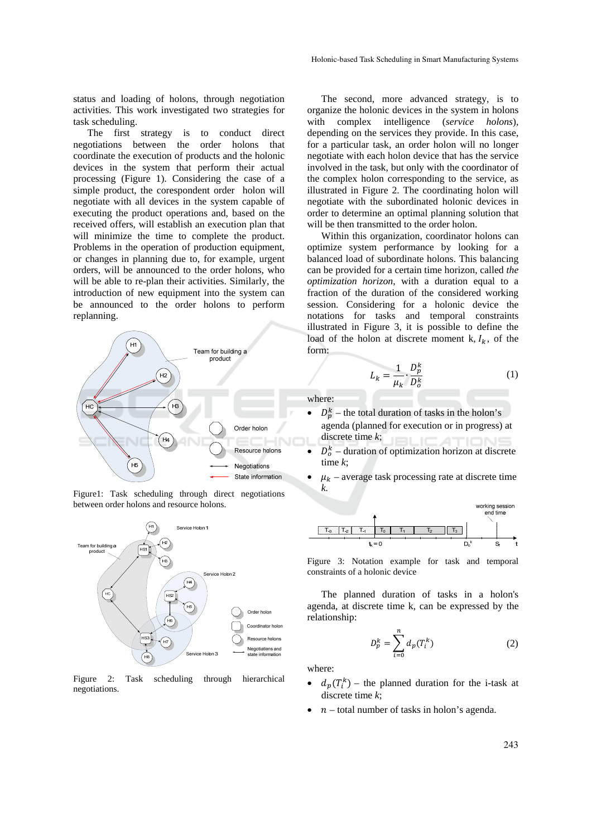status and loading of holons, through negotiation activities. This work investigated two strategies for task scheduling.

The first strategy is to conduct direct negotiations between the order holons that coordinate the execution of products and the holonic devices in the system that perform their actual processing (Figure 1). Considering the case of a simple product, the corespondent order holon will negotiate with all devices in the system capable of executing the product operations and, based on the received offers, will establish an execution plan that will minimize the time to complete the product. Problems in the operation of production equipment, or changes in planning due to, for example, urgent orders, will be announced to the order holons, who will be able to re-plan their activities. Similarly, the introduction of new equipment into the system can be announced to the order holons to perform replanning.







Figure 2: Task scheduling through hierarchical negotiations.

The second, more advanced strategy, is to organize the holonic devices in the system in holons with complex intelligence (*service holons*), depending on the services they provide. In this case, for a particular task, an order holon will no longer negotiate with each holon device that has the service involved in the task, but only with the coordinator of the complex holon corresponding to the service, as illustrated in Figure 2. The coordinating holon will negotiate with the subordinated holonic devices in order to determine an optimal planning solution that will be then transmitted to the order holon.

Within this organization, coordinator holons can optimize system performance by looking for a balanced load of subordinate holons. This balancing can be provided for a certain time horizon, called *the optimization horizon*, with a duration equal to a fraction of the duration of the considered working session. Considering for a holonic device the notations for tasks and temporal constraints illustrated in Figure 3, it is possible to define the load of the holon at discrete moment k,  $I_k$ , of the form:

$$
L_k = \frac{1}{\mu_k} \cdot \frac{D_p^k}{D_o^k} \tag{1}
$$

where:

- $D_p^k$  the total duration of tasks in the holon's agenda (planned for execution or in progress) at discrete time *k*;
- $\bullet$   $D_0^k$  duration of optimization horizon at discrete time *k*;
- $\mu_k$  average task processing rate at discrete time *k.*



Figure 3: Notation example for task and temporal constraints of a holonic device

The planned duration of tasks in a holon's agenda, at discrete time k, can be expressed by the relationship:

$$
D_p^k = \sum_{i=0}^n d_p(T_i^k)
$$
 (2)

where:

- $d_p(T_i^k)$  the planned duration for the i-task at discrete time *k*;
- $n$  total number of tasks in holon's agenda.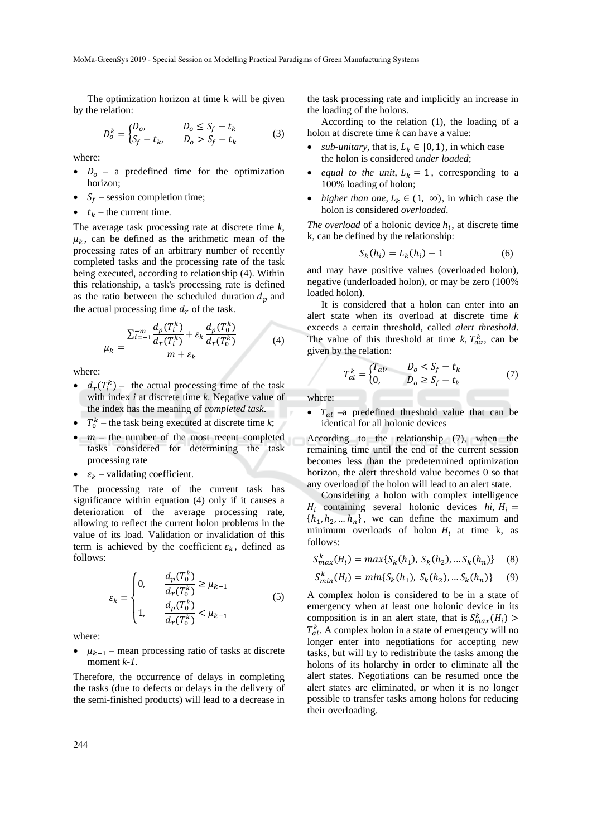The optimization horizon at time k will be given by the relation:

$$
D_o^k = \begin{cases} D_o, & D_o \le S_f - t_k \\ S_f - t_k, & D_o > S_f - t_k \end{cases}
$$
 (3)

where:

- $D<sub>o</sub>$  a predefined time for the optimization horizon;
- $S_f$  session completion time;
- $t_k$  the current time.

The average task processing rate at discrete time *k*,  $\mu_k$ , can be defined as the arithmetic mean of the processing rates of an arbitrary number of recently completed tasks and the processing rate of the task being executed, according to relationship (4). Within this relationship, a task's processing rate is defined as the ratio between the scheduled duration  $d_p$  and the actual processing time  $d_r$  of the task.

$$
\mu_{k} = \frac{\sum_{i=-1}^{-m} \frac{d_{p}(T_{i}^{k})}{d_{r}(T_{i}^{k})} + \varepsilon_{k} \frac{d_{p}(T_{0}^{k})}{d_{r}(T_{0}^{k})}}{m + \varepsilon_{k}}
$$
(4)

where:

- $d_r(T_i^k)$  the actual processing time of the task with index *i* at discrete time *k*. Negative value of the index has the meaning of *completed task*.
- $T_0^k$  the task being executed at discrete time *k*;
- $\bullet$   $m$  the number of the most recent completed tasks considered for determining the task processing rate
- $\varepsilon_k$  validating coefficient.

The processing rate of the current task has significance within equation (4) only if it causes a deterioration of the average processing rate, allowing to reflect the current holon problems in the value of its load. Validation or invalidation of this term is achieved by the coefficient  $\varepsilon_k$ , defined as follows:

$$
\varepsilon_{k} = \begin{cases} 0, & \frac{d_{p}(T_{0}^{k})}{d_{r}(T_{0}^{k})} \geq \mu_{k-1} \\ 1, & \frac{d_{p}(T_{0}^{k})}{d_{r}(T_{0}^{k})} < \mu_{k-1} \end{cases}
$$
(5)

where:

 $\mu_{k-1}$  – mean processing ratio of tasks at discrete moment *k-1*.

Therefore, the occurrence of delays in completing the tasks (due to defects or delays in the delivery of the semi-finished products) will lead to a decrease in the task processing rate and implicitly an increase in the loading of the holons.

According to the relation (1), the loading of a holon at discrete time *k* can have a value:

- *sub-unitary*, that is,  $L_k \in [0, 1)$ , in which case the holon is considered *under loaded*;
- *equal to the unit*,  $L_k = 1$ , corresponding to a 100% loading of holon;
- *higher than one,*  $L_k \in (1, \infty)$ , in which case the holon is considered *overloaded*.

*The overload* of a holonic device  $h_i$ , at discrete time k, can be defined by the relationship:

$$
S_k(h_i) = L_k(h_i) - 1 \tag{6}
$$

and may have positive values (overloaded holon), negative (underloaded holon), or may be zero (100% loaded holon).

It is considered that a holon can enter into an alert state when its overload at discrete time *k* exceeds a certain threshold, called *alert threshold*. The value of this threshold at time  $k$ ,  $T_{av}^k$ , can be given by the relation:

$$
T_{al}^k = \begin{cases} T_{al}, & D_o < S_f - t_k \\ 0, & D_o \ge S_f - t_k \end{cases} \tag{7}
$$

where:

 $T_{al}$  –a predefined threshold value that can be identical for all holonic devices

According to the relationship (7), when the remaining time until the end of the current session becomes less than the predetermined optimization horizon, the alert threshold value becomes 0 so that any overload of the holon will lead to an alert state.

Considering a holon with complex intelligence  $H_i$  containing several holonic devices *hi*,  $H_i =$  $\{h_1, h_2, \dots h_n\}$ , we can define the maximum and minimum overloads of holon  $H_i$  at time k, as follows:

$$
S_{max}^{k}(H_i) = max\{S_k(h_1), S_k(h_2), \dots S_k(h_n)\} \quad (8)
$$

$$
S_{min}^k(H_i) = min\{S_k(h_1), S_k(h_2), \dots S_k(h_n)\} \tag{9}
$$

A complex holon is considered to be in a state of emergency when at least one holonic device in its composition is in an alert state, that is  $S_{max}^k(H_i)$  $T_{al}^k$ . A complex holon in a state of emergency will no longer enter into negotiations for accepting new tasks, but will try to redistribute the tasks among the holons of its holarchy in order to eliminate all the alert states. Negotiations can be resumed once the alert states are eliminated, or when it is no longer possible to transfer tasks among holons for reducing their overloading.